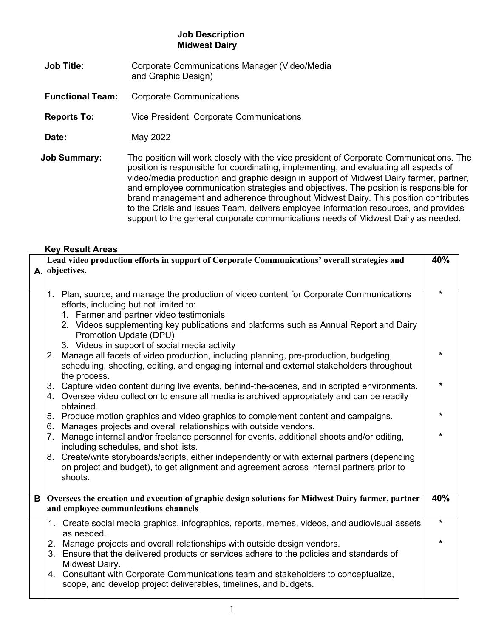## **Job Description Midwest Dairy**

- **Job Title:** Corporate Communications Manager (Video/Media and Graphic Design)
- **Functional Team:** Corporate Communications
- **Reports To:** Vice President, Corporate Communications
- **Date:** May 2022
- **Job Summary:** The position will work closely with the vice president of Corporate Communications. The position is responsible for coordinating, implementing, and evaluating all aspects of video/media production and graphic design in support of Midwest Dairy farmer, partner, and employee communication strategies and objectives. The position is responsible for brand management and adherence throughout Midwest Dairy. This position contributes to the Crisis and Issues Team, delivers employee information resources, and provides support to the general corporate communications needs of Midwest Dairy as needed.

## **Key Result Areas**

|   | Lead video production efforts in support of Corporate Communications' overall strategies and<br>40%                                                                                                   |         |  |
|---|-------------------------------------------------------------------------------------------------------------------------------------------------------------------------------------------------------|---------|--|
|   | A. objectives.                                                                                                                                                                                        |         |  |
|   |                                                                                                                                                                                                       |         |  |
|   | 1. Plan, source, and manage the production of video content for Corporate Communications                                                                                                              | $\star$ |  |
|   | efforts, including but not limited to:                                                                                                                                                                |         |  |
|   | 1. Farmer and partner video testimonials                                                                                                                                                              |         |  |
|   | 2. Videos supplementing key publications and platforms such as Annual Report and Dairy<br>Promotion Update (DPU)                                                                                      |         |  |
|   | 3. Videos in support of social media activity                                                                                                                                                         |         |  |
|   | 2. Manage all facets of video production, including planning, pre-production, budgeting,<br>scheduling, shooting, editing, and engaging internal and external stakeholders throughout<br>the process. |         |  |
|   | 3. Capture video content during live events, behind-the-scenes, and in scripted environments.                                                                                                         | $\star$ |  |
|   | 4. Oversee video collection to ensure all media is archived appropriately and can be readily<br>obtained.                                                                                             |         |  |
|   | 5. Produce motion graphics and video graphics to complement content and campaigns.                                                                                                                    |         |  |
|   | 6. Manages projects and overall relationships with outside vendors.                                                                                                                                   |         |  |
|   | 7. Manage internal and/or freelance personnel for events, additional shoots and/or editing,<br>including schedules, and shot lists.                                                                   |         |  |
|   | 8. Create/write storyboards/scripts, either independently or with external partners (depending<br>on project and budget), to get alignment and agreement across internal partners prior to<br>shoots. |         |  |
|   |                                                                                                                                                                                                       |         |  |
| В | Oversees the creation and execution of graphic design solutions for Midwest Dairy farmer, partner                                                                                                     | 40%     |  |
|   | and employee communications channels                                                                                                                                                                  |         |  |
|   | 1. Create social media graphics, infographics, reports, memes, videos, and audiovisual assets<br>as needed.                                                                                           | $\star$ |  |
|   | 2. Manage projects and overall relationships with outside design vendors.                                                                                                                             |         |  |
|   | 3. Ensure that the delivered products or services adhere to the policies and standards of                                                                                                             |         |  |
|   | Midwest Dairy.                                                                                                                                                                                        |         |  |
|   | 4. Consultant with Corporate Communications team and stakeholders to conceptualize,<br>scope, and develop project deliverables, timelines, and budgets.                                               |         |  |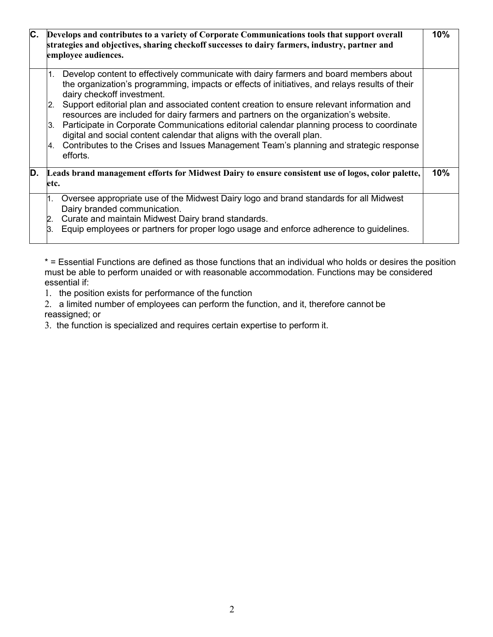| C. | Develops and contributes to a variety of Corporate Communications tools that support overall<br>strategies and objectives, sharing checkoff successes to dairy farmers, industry, partner and<br>employee audiences.                                                                                                                                                                                                                                                                                                                                                                                                                                                                                         | 10% |
|----|--------------------------------------------------------------------------------------------------------------------------------------------------------------------------------------------------------------------------------------------------------------------------------------------------------------------------------------------------------------------------------------------------------------------------------------------------------------------------------------------------------------------------------------------------------------------------------------------------------------------------------------------------------------------------------------------------------------|-----|
|    | 1. Develop content to effectively communicate with dairy farmers and board members about<br>the organization's programming, impacts or effects of initiatives, and relays results of their<br>dairy checkoff investment.<br>Support editorial plan and associated content creation to ensure relevant information and<br>2.<br>resources are included for dairy farmers and partners on the organization's website.<br>Participate in Corporate Communications editorial calendar planning process to coordinate<br>3.<br>digital and social content calendar that aligns with the overall plan.<br>Contributes to the Crises and Issues Management Team's planning and strategic response<br>4.<br>efforts. |     |
| D. | Leads brand management efforts for Midwest Dairy to ensure consistent use of logos, color palette,<br>etc.                                                                                                                                                                                                                                                                                                                                                                                                                                                                                                                                                                                                   | 10% |
|    | 1. Oversee appropriate use of the Midwest Dairy logo and brand standards for all Midwest<br>Dairy branded communication.<br>Curate and maintain Midwest Dairy brand standards.<br>2.<br>Equip employees or partners for proper logo usage and enforce adherence to guidelines.<br>З.                                                                                                                                                                                                                                                                                                                                                                                                                         |     |

\* = Essential Functions are defined as those functions that an individual who holds or desires the position must be able to perform unaided or with reasonable accommodation. Functions may be considered essential if:

1. the position exists for performance of the function

2. a limited number of employees can perform the function, and it, therefore cannot be reassigned; or

3. the function is specialized and requires certain expertise to perform it.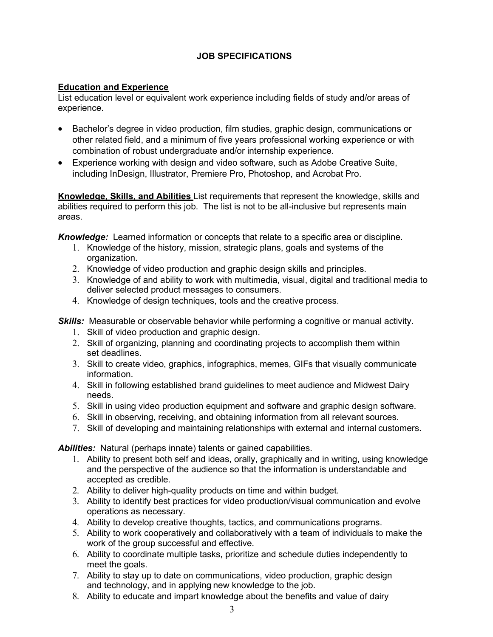## **JOB SPECIFICATIONS**

## **Education and Experience**

List education level or equivalent work experience including fields of study and/or areas of experience.

- Bachelor's degree in video production, film studies, graphic design, communications or other related field, and a minimum of five years professional working experience or with combination of robust undergraduate and/or internship experience.
- Experience working with design and video software, such as Adobe Creative Suite, including InDesign, Illustrator, Premiere Pro, Photoshop, and Acrobat Pro.

**Knowledge, Skills, and Abilities** List requirements that represent the knowledge, skills and abilities required to perform this job. The list is not to be all-inclusive but represents main areas.

*Knowledge:* Learned information or concepts that relate to a specific area or discipline.

- 1. Knowledge of the history, mission, strategic plans, goals and systems of the organization.
- 2. Knowledge of video production and graphic design skills and principles.
- 3. Knowledge of and ability to work with multimedia, visual, digital and traditional media to deliver selected product messages to consumers.
- 4. Knowledge of design techniques, tools and the creative process.

**Skills:** Measurable or observable behavior while performing a cognitive or manual activity.

- 1. Skill of video production and graphic design.
- 2. Skill of organizing, planning and coordinating projects to accomplish them within set deadlines.
- 3. Skill to create video, graphics, infographics, memes, GIFs that visually communicate information.
- 4. Skill in following established brand guidelines to meet audience and Midwest Dairy needs.
- 5. Skill in using video production equipment and software and graphic design software.
- 6. Skill in observing, receiving, and obtaining information from all relevant sources.
- 7. Skill of developing and maintaining relationships with external and internal customers.

*Abilities:* Natural (perhaps innate) talents or gained capabilities.

- 1. Ability to present both self and ideas, orally, graphically and in writing, using knowledge and the perspective of the audience so that the information is understandable and accepted as credible.
- 2. Ability to deliver high-quality products on time and within budget.
- 3. Ability to identify best practices for video production/visual communication and evolve operations as necessary.
- 4. Ability to develop creative thoughts, tactics, and communications programs.
- 5. Ability to work cooperatively and collaboratively with a team of individuals to make the work of the group successful and effective.
- 6. Ability to coordinate multiple tasks, prioritize and schedule duties independently to meet the goals.
- 7. Ability to stay up to date on communications, video production, graphic design and technology, and in applying new knowledge to the job.
- 8. Ability to educate and impart knowledge about the benefits and value of dairy